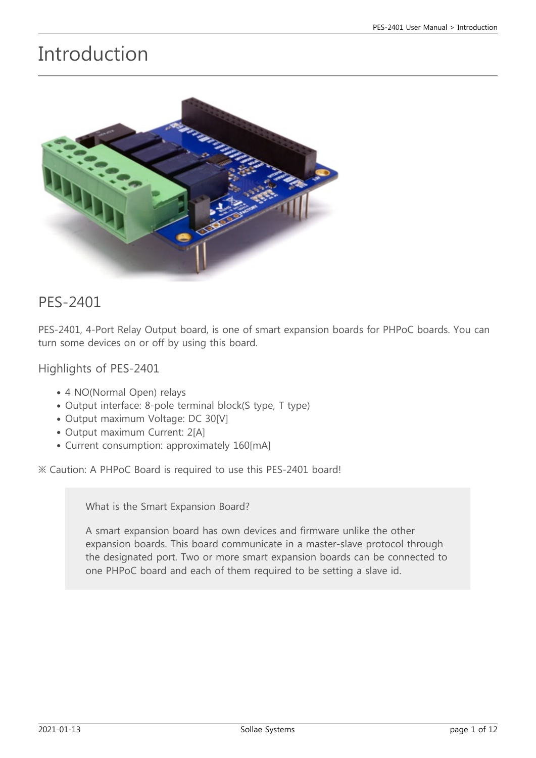# Introduction



#### PES-2401

PES-2401, 4-Port Relay Output board, is one of smart expansion boards for PHPoC boards. You can turn some devices on or off by using this board.

Highlights of PES-2401

- 4 NO(Normal Open) relays
- Output interface: 8-pole terminal block(S type, T type)
- Output maximum Voltage: DC 30[V]
- Output maximum Current: 2[A]
- Current consumption: approximately 160[mA]

※ Caution: A PHPoC Board is required to use this PES-2401 board!

What is the Smart Expansion Board?

A smart expansion board has own devices and firmware unlike the other expansion boards. This board communicate in a master-slave protocol through the designated port. Two or more smart expansion boards can be connected to one PHPoC board and each of them required to be setting a slave id.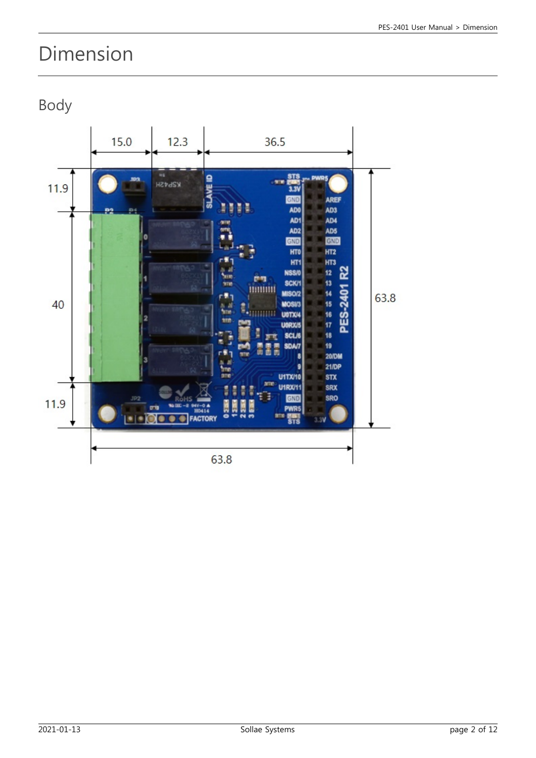# Dimension

Body

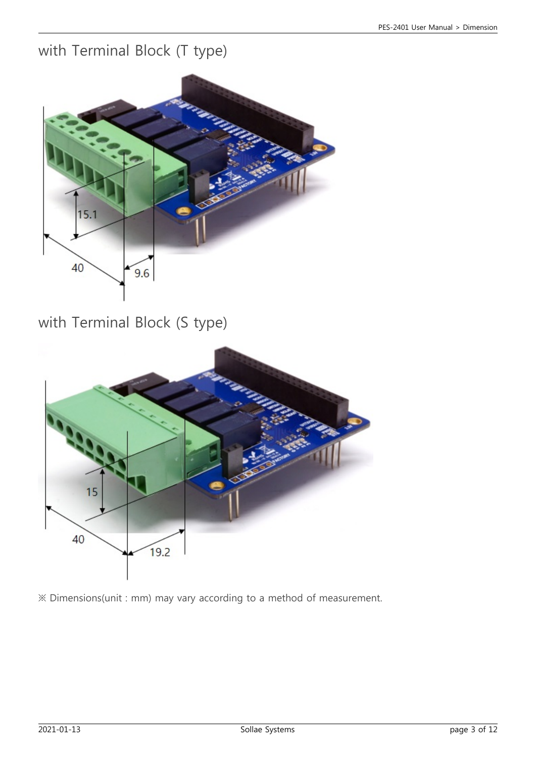### with Terminal Block (T type)



with Terminal Block (S type)



※ Dimensions(unit : mm) may vary according to a method of measurement.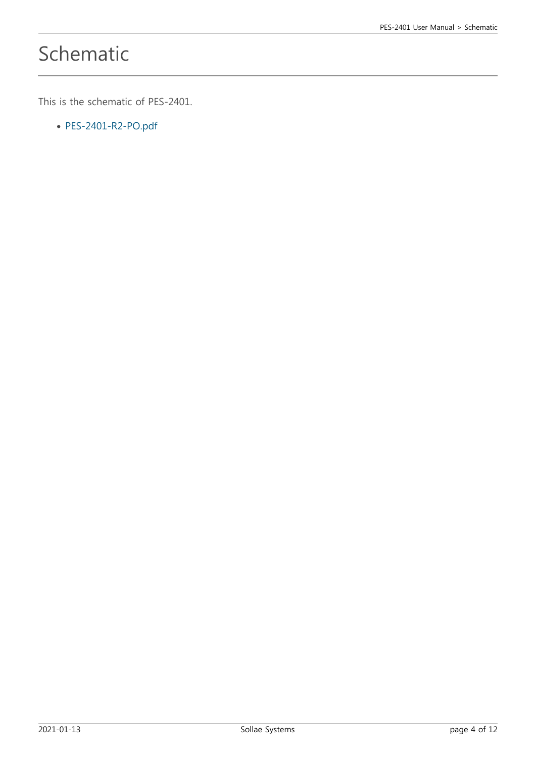# Schematic

This is the schematic of PES-2401.

[PES-2401-R2-PO.pdf](http://www.phpoc.com/support/manual/pes-2401_user_manual/img/PES-2401-R2-PO.pdf)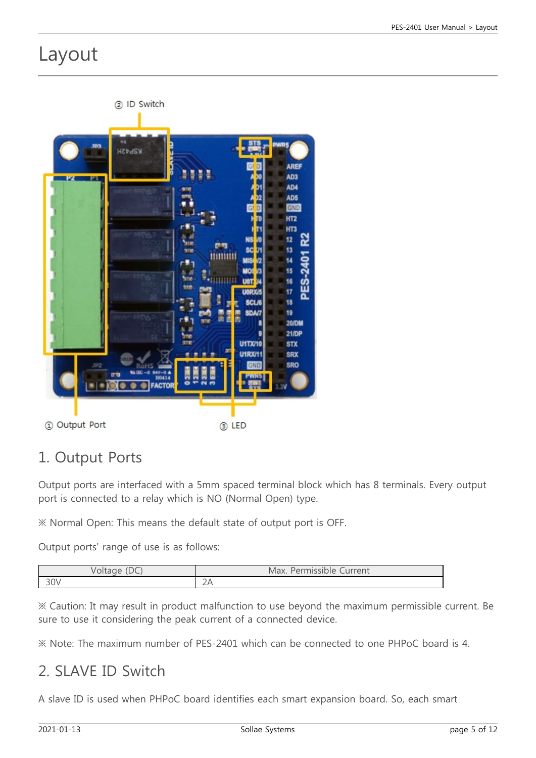## Layout



## 1. Output Ports

Output ports are interfaced with a 5mm spaced terminal block which has 8 terminals. Every output port is connected to a relay which is NO (Normal Open) type.

※ Normal Open: This means the default state of output port is OFF.

Output ports' range of use is as follows:

| $\sqrt{2}$ | urrent<br>Max.<br>100<br><b>ISSIDIE</b> |
|------------|-----------------------------------------|
| 30V        | $\overline{\phantom{0}}$<br>27          |

※ Caution: It may result in product malfunction to use beyond the maximum permissible current. Be sure to use it considering the peak current of a connected device.

※ Note: The maximum number of PES-2401 which can be connected to one PHPoC board is 4.

### 2. SLAVE ID Switch

A slave ID is used when PHPoC board identifies each smart expansion board. So, each smart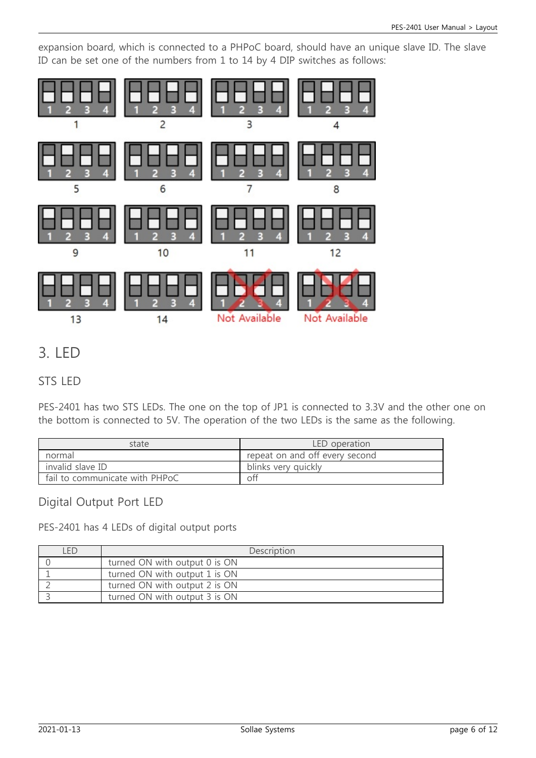expansion board, which is connected to a PHPoC board, should have an unique slave ID. The slave ID can be set one of the numbers from 1 to 14 by 4 DIP switches as follows:



## 3. LED

#### STS LED

PES-2401 has two STS LEDs. The one on the top of JP1 is connected to 3.3V and the other one on the bottom is connected to 5V. The operation of the two LEDs is the same as the following.

| state                          | LED operation                  |
|--------------------------------|--------------------------------|
| normal                         | repeat on and off every second |
| invalid slave ID               | blinks very quickly            |
| fail to communicate with PHPoC | off                            |

#### Digital Output Port LED

PES-2401 has 4 LEDs of digital output ports

| <b>FD</b> | Description                   |
|-----------|-------------------------------|
|           | turned ON with output 0 is ON |
|           | turned ON with output 1 is ON |
|           | turned ON with output 2 is ON |
|           | turned ON with output 3 is ON |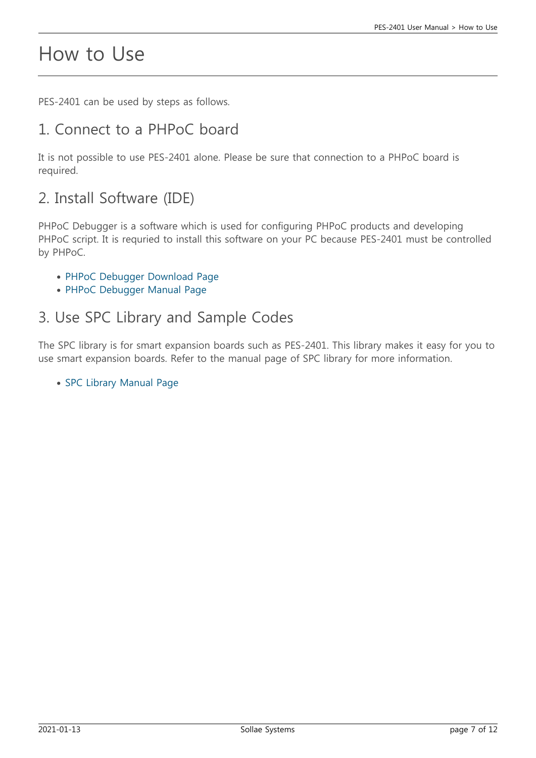## How to Use

PES-2401 can be used by steps as follows.

### 1. Connect to a PHPoC board

It is not possible to use PES-2401 alone. Please be sure that connection to a PHPoC board is required.

### 2. Install Software (IDE)

PHPoC Debugger is a software which is used for configuring PHPoC products and developing PHPoC script. It is requried to install this software on your PC because PES-2401 must be controlled by PHPoC.

- [PHPoC Debugger Download Page](http://www.phpoc.com/download.php#download_tools)
- [PHPoC Debugger Manual Page](http://www.phpoc.com/support/manual/phpoc_debugger_manual)

#### 3. Use SPC Library and Sample Codes

The SPC library is for smart expansion boards such as PES-2401. This library makes it easy for you to use smart expansion boards. Refer to the manual page of SPC library for more information.

• [SPC Library Manual Page](http://www.phpoc.com/support/manual/psp_library_reference/contents.php?id=l_sd_spc)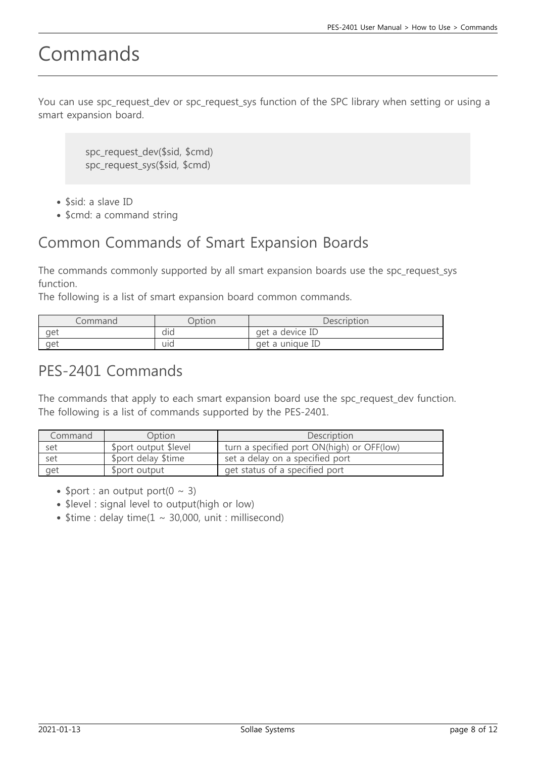# Commands

You can use spc\_request\_dev or spc\_request\_sys function of the SPC library when setting or using a smart expansion board.

> spc\_request\_dev(\$sid, \$cmd) spc\_request\_sys(\$sid, \$cmd)

- \$sid: a slave ID
- \$cmd: a command string

### Common Commands of Smart Expansion Boards

The commands commonly supported by all smart expansion boards use the spc\_request\_sys function.

The following is a list of smart expansion board common commands.

| ommand | )ption | Description        |
|--------|--------|--------------------|
| aet    | did    | get a device ID    |
| aet    | uid    | a unique ID<br>aet |

### PES-2401 Commands

The commands that apply to each smart expansion board use the spc\_request\_dev function. The following is a list of commands supported by the PES-2401.

| Command | Option                | Description                                |
|---------|-----------------------|--------------------------------------------|
| set     | \$port output \$level | turn a specified port ON(high) or OFF(low) |
| set     | \$port delay \$time   | set a delay on a specified port            |
| get     | \$port output         | get status of a specified port             |

- \$port : an output port( $0 \sim 3$ )
- \$level : signal level to output(high or low)
- $\bullet$  \$time : delay time(1 ~ 30,000, unit : millisecond)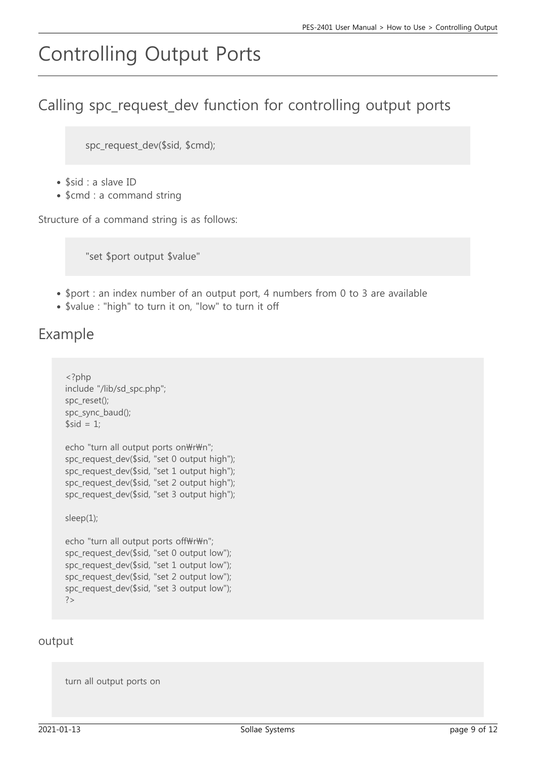# Controlling Output Ports

## Calling spc\_request\_dev function for controlling output ports

spc\_request\_dev(\$sid, \$cmd);

- $\bullet$  \$sid : a slave ID
- \$cmd : a command string

Structure of a command string is as follows:

"set \$port output \$value"

- \$port : an index number of an output port, 4 numbers from 0 to 3 are available
- \$value : "high" to turn it on, "low" to turn it off

### Example

```
<?php
include "/lib/sd_spc.php";
spc_reset();
spc_sync_baud();
$sid = 1;echo "turn all output ports on\r\n";
spc_request_dev($sid, "set 0 output high");
spc_request_dev($sid, "set 1 output high");
spc_request_dev($sid, "set 2 output high");
spc_request_dev($sid, "set 3 output high");
sleep(1);
echo "turn all output ports off\r\n";
spc_request_dev($sid, "set 0 output low");
spc_request_dev($sid, "set 1 output low");
```

```
spc_request_dev($sid, "set 2 output low");
spc request dev($sid, "set 3 output low");
?>
```
#### output

turn all output ports on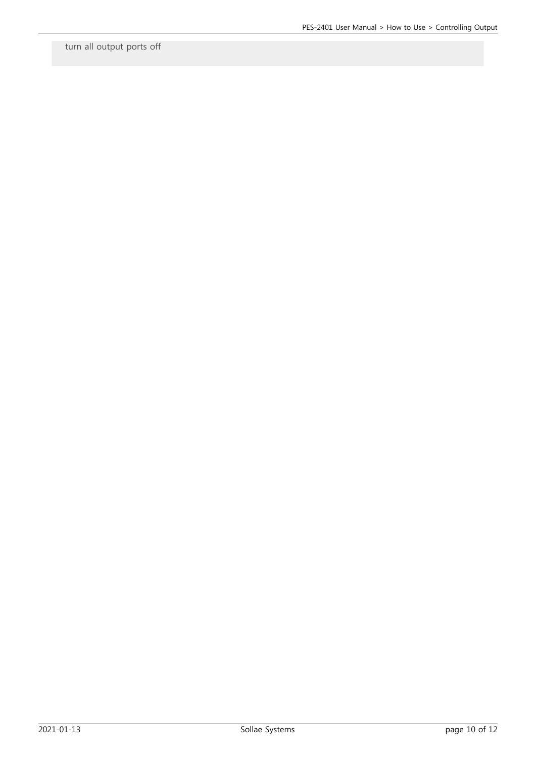turn all output ports off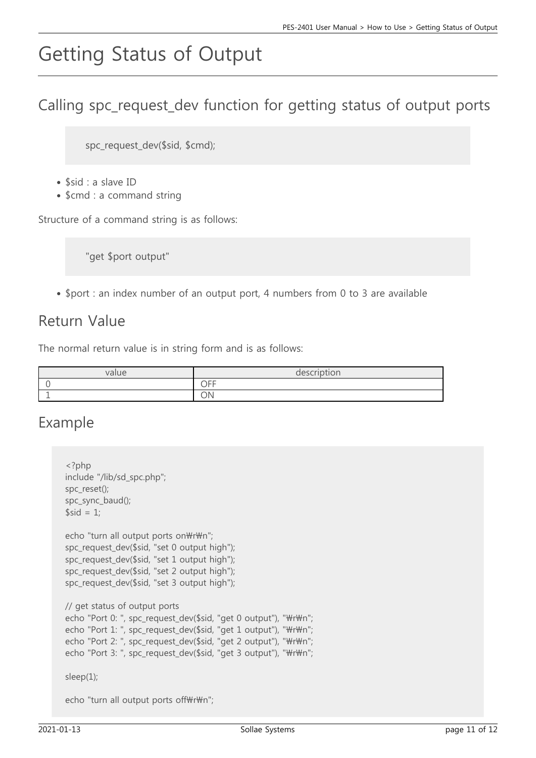# Getting Status of Output

## Calling spc\_request\_dev function for getting status of output ports

spc\_request\_dev(\$sid, \$cmd);

- $\bullet$  \$sid : a slave ID
- \$cmd : a command string

Structure of a command string is as follows:

"get \$port output"

• \$port : an index number of an output port, 4 numbers from 0 to 3 are available

#### Return Value

The normal return value is in string form and is as follows:

| value | description |
|-------|-------------|
|       | OFF         |
|       | ON          |

#### Example

```
<?php
include "/lib/sd_spc.php";
spc_reset();
spc_sync_baud();
$sid = 1;echo "turn all output ports on\r\n";
spc_request_dev($sid, "set 0 output high");
spc_request_dev($sid, "set 1 output high");
spc_request_dev($sid, "set 2 output high");
spc_request_dev($sid, "set 3 output high");
// get status of output ports
echo "Port 0: ", spc_request_dev($sid, "get 0 output"), "\r\n";
echo "Port 1: ", spc_request_dev($sid, "get 1 output"), "\r\n";
echo "Port 2: ", spc_request_dev($sid, "get 2 output"), "\r\n";
echo "Port 3: ", spc_request_dev($sid, "get 3 output"), "\r\n";
sleep(1);
```
echo "turn all output ports off $\#r\$ n";